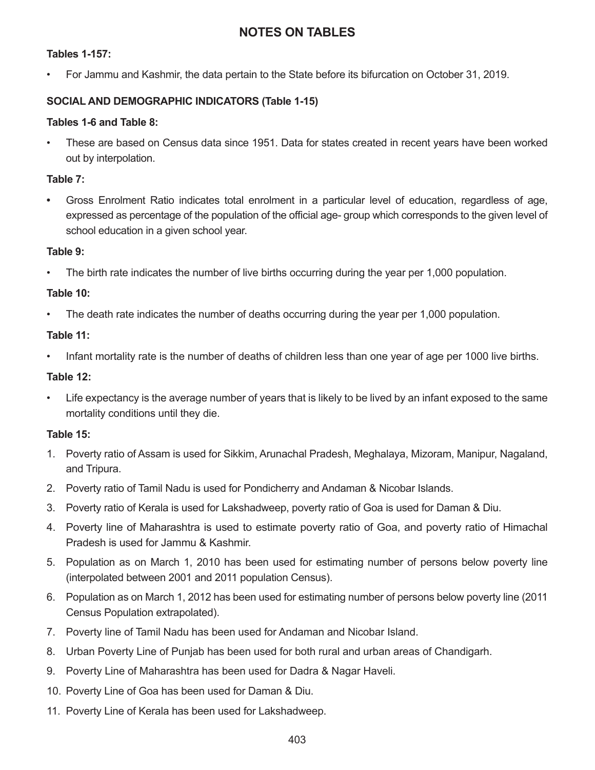# **NOTES ON TABLES**

### **Tables 1-157:**

• For Jammu and Kashmir, the data pertain to the State before its bifurcation on October 31, 2019.

### **SOCIAL AND DEMOGRAPHIC INDICATORS (Table 1-15)**

#### **Tables 1-6 and Table 8:**

• These are based on Census data since 1951. Data for states created in recent years have been worked out by interpolation.

### **Table 7:**

**•** Gross Enrolment Ratio indicates total enrolment in a particular level of education, regardless of age, expressed as percentage of the population of the official age- group which corresponds to the given level of school education in a given school year.

#### **Table 9:**

• The birth rate indicates the number of live births occurring during the year per 1,000 population.

### **Table 10:**

• The death rate indicates the number of deaths occurring during the year per 1,000 population.

#### **Table 11:**

• Infant mortality rate is the number of deaths of children less than one year of age per 1000 live births.

### **Table 12:**

• Life expectancy is the average number of years that is likely to be lived by an infant exposed to the same mortality conditions until they die.

### **Table 15:**

- 1. Poverty ratio of Assam is used for Sikkim, Arunachal Pradesh, Meghalaya, Mizoram, Manipur, Nagaland, and Tripura.
- 2. Poverty ratio of Tamil Nadu is used for Pondicherry and Andaman & Nicobar Islands.
- 3. Poverty ratio of Kerala is used for Lakshadweep, poverty ratio of Goa is used for Daman & Diu.
- 4. Poverty line of Maharashtra is used to estimate poverty ratio of Goa, and poverty ratio of Himachal Pradesh is used for Jammu & Kashmir.
- 5. Population as on March 1, 2010 has been used for estimating number of persons below poverty line (interpolated between 2001 and 2011 population Census).
- 6. Population as on March 1, 2012 has been used for estimating number of persons below poverty line (2011 Census Population extrapolated).
- 7. Poverty line of Tamil Nadu has been used for Andaman and Nicobar Island.
- 8. Urban Poverty Line of Punjab has been used for both rural and urban areas of Chandigarh.
- 9. Poverty Line of Maharashtra has been used for Dadra & Nagar Haveli.
- 10. Poverty Line of Goa has been used for Daman & Diu.
- 11. Poverty Line of Kerala has been used for Lakshadweep.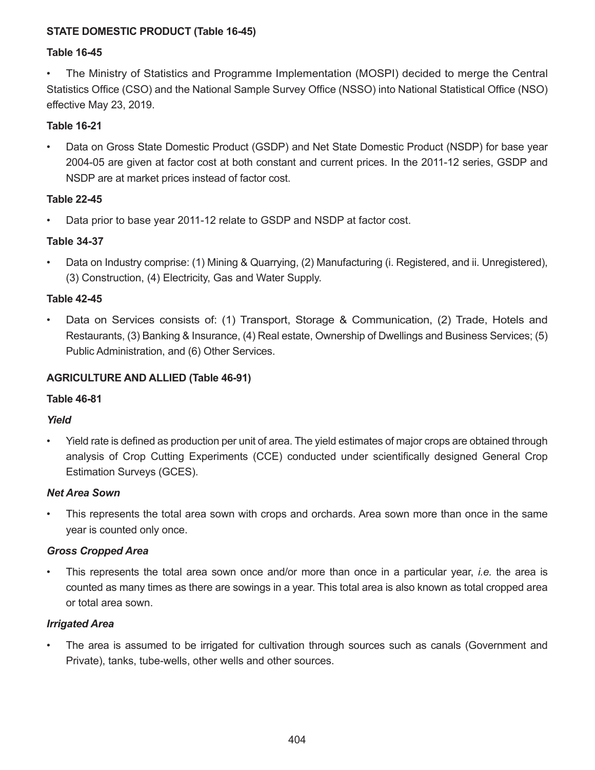# **STATE DOMESTIC PRODUCT (Table 16-45)**

### **Table 16-45**

• The Ministry of Statistics and Programme Implementation (MOSPI) decided to merge the Central Statistics Office (CSO) and the National Sample Survey Office (NSSO) into National Statistical Office (NSO) effective May 23, 2019.

# **Table 16-21**

• Data on Gross State Domestic Product (GSDP) and Net State Domestic Product (NSDP) for base year 2004-05 are given at factor cost at both constant and current prices. In the 2011-12 series, GSDP and NSDP are at market prices instead of factor cost.

# **Table 22-45**

• Data prior to base year 2011-12 relate to GSDP and NSDP at factor cost.

### **Table 34-37**

• Data on Industry comprise: (1) Mining & Quarrying, (2) Manufacturing (i. Registered, and ii. Unregistered), (3) Construction, (4) Electricity, Gas and Water Supply.

### **Table 42-45**

• Data on Services consists of: (1) Transport, Storage & Communication, (2) Trade, Hotels and Restaurants, (3) Banking & Insurance, (4) Real estate, Ownership of Dwellings and Business Services; (5) Public Administration, and (6) Other Services.

### **AGRICULTURE AND ALLIED (Table 46-91)**

### **Table 46-81**

# *Yield*

• Yield rate is defined as production per unit of area. The yield estimates of major crops are obtained through analysis of Crop Cutting Experiments (CCE) conducted under scientifically designed General Crop Estimation Surveys (GCES).

### *Net Area Sown*

• This represents the total area sown with crops and orchards. Area sown more than once in the same year is counted only once.

# *Gross Cropped Area*

• This represents the total area sown once and/or more than once in a particular year, *i.e.* the area is counted as many times as there are sowings in a year. This total area is also known as total cropped area or total area sown.

### *Irrigated Area*

The area is assumed to be irrigated for cultivation through sources such as canals (Government and Private), tanks, tube-wells, other wells and other sources.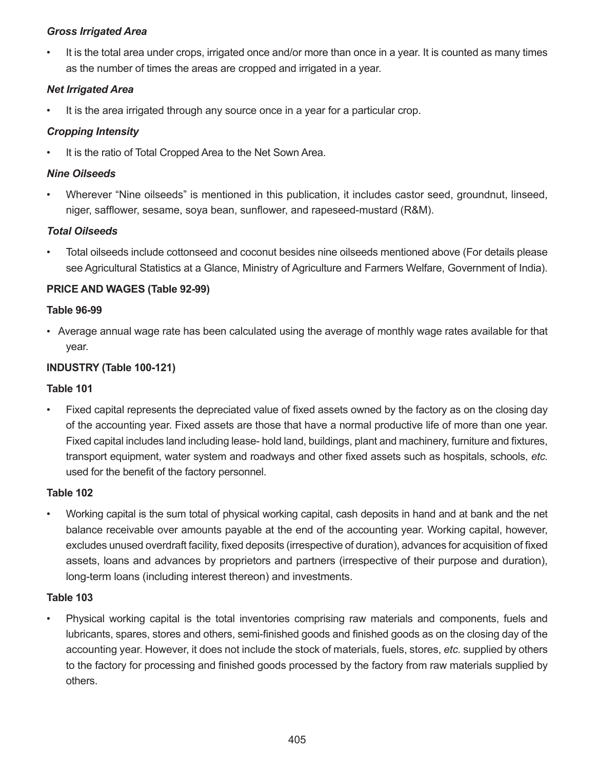# *Gross Irrigated Area*

• It is the total area under crops, irrigated once and/or more than once in a year. It is counted as many times as the number of times the areas are cropped and irrigated in a year.

# *Net Irrigated Area*

It is the area irrigated through any source once in a year for a particular crop.

# *Cropping Intensity*

It is the ratio of Total Cropped Area to the Net Sown Area.

# *Nine Oilseeds*

• Wherever "Nine oilseeds" is mentioned in this publication, it includes castor seed, groundnut, linseed, niger, safflower, sesame, soya bean, sunflower, and rapeseed-mustard (R&M).

# *Total Oilseeds*

• Total oilseeds include cottonseed and coconut besides nine oilseeds mentioned above (For details please see Agricultural Statistics at a Glance, Ministry of Agriculture and Farmers Welfare, Government of India).

# **PRICE AND WAGES (Table 92-99)**

# **Table 96-99**

• Average annual wage rate has been calculated using the average of monthly wage rates available for that year.

# **INDUSTRY (Table 100-121)**

# **Table 101**

• Fixed capital represents the depreciated value of fixed assets owned by the factory as on the closing day of the accounting year. Fixed assets are those that have a normal productive life of more than one year. Fixed capital includes land including lease- hold land, buildings, plant and machinery, furniture and fixtures, transport equipment, water system and roadways and other fixed assets such as hospitals, schools, *etc.* used for the benefit of the factory personnel.

# **Table 102**

• Working capital is the sum total of physical working capital, cash deposits in hand and at bank and the net balance receivable over amounts payable at the end of the accounting year. Working capital, however, excludes unused overdraft facility, fixed deposits (irrespective of duration), advances for acquisition of fixed assets, loans and advances by proprietors and partners (irrespective of their purpose and duration), long-term loans (including interest thereon) and investments.

# **Table 103**

• Physical working capital is the total inventories comprising raw materials and components, fuels and lubricants, spares, stores and others, semi-finished goods and finished goods as on the closing day of the accounting year. However, it does not include the stock of materials, fuels, stores, *etc.* supplied by others to the factory for processing and finished goods processed by the factory from raw materials supplied by others.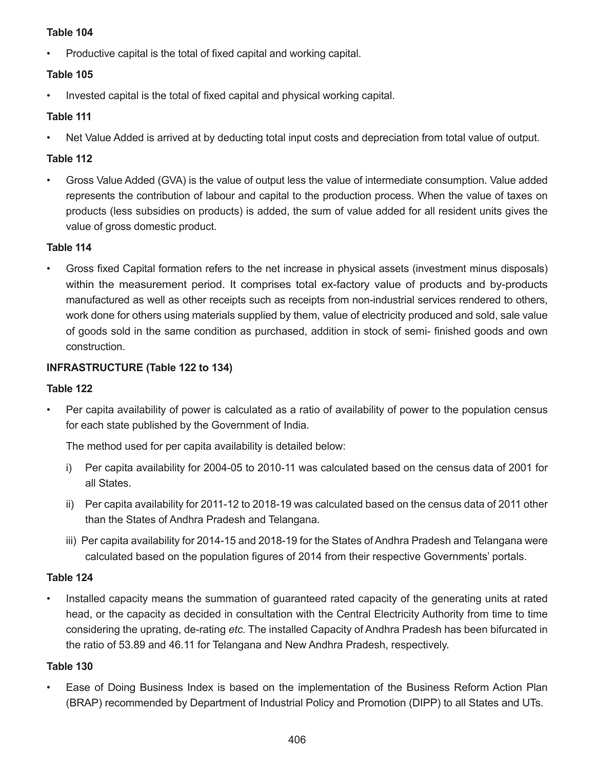### **Table 104**

• Productive capital is the total of fixed capital and working capital.

# **Table 105**

• Invested capital is the total of fixed capital and physical working capital.

# **Table 111**

• Net Value Added is arrived at by deducting total input costs and depreciation from total value of output.

# **Table 112**

• Gross Value Added (GVA) is the value of output less the value of intermediate consumption. Value added represents the contribution of labour and capital to the production process. When the value of taxes on products (less subsidies on products) is added, the sum of value added for all resident units gives the value of gross domestic product.

# **Table 114**

• Gross fixed Capital formation refers to the net increase in physical assets (investment minus disposals) within the measurement period. It comprises total ex-factory value of products and by-products manufactured as well as other receipts such as receipts from non-industrial services rendered to others, work done for others using materials supplied by them, value of electricity produced and sold, sale value of goods sold in the same condition as purchased, addition in stock of semi- finished goods and own construction.

# **INFRASTRUCTURE (Table 122 to 134)**

# **Table 122**

• Per capita availability of power is calculated as a ratio of availability of power to the population census for each state published by the Government of India.

The method used for per capita availability is detailed below:

- i) Per capita availability for 2004-05 to 2010-11 was calculated based on the census data of 2001 for all States.
- ii) Per capita availability for 2011-12 to 2018-19 was calculated based on the census data of 2011 other than the States of Andhra Pradesh and Telangana.
- iii) Per capita availability for 2014-15 and 2018-19 for the States of Andhra Pradesh and Telangana were calculated based on the population figures of 2014 from their respective Governments' portals.

# **Table 124**

Installed capacity means the summation of guaranteed rated capacity of the generating units at rated head, or the capacity as decided in consultation with the Central Electricity Authority from time to time considering the uprating, de-rating *etc.* The installed Capacity of Andhra Pradesh has been bifurcated in the ratio of 53.89 and 46.11 for Telangana and New Andhra Pradesh, respectively.

# **Table 130**

• Ease of Doing Business Index is based on the implementation of the Business Reform Action Plan (BRAP) recommended by Department of Industrial Policy and Promotion (DIPP) to all States and UTs.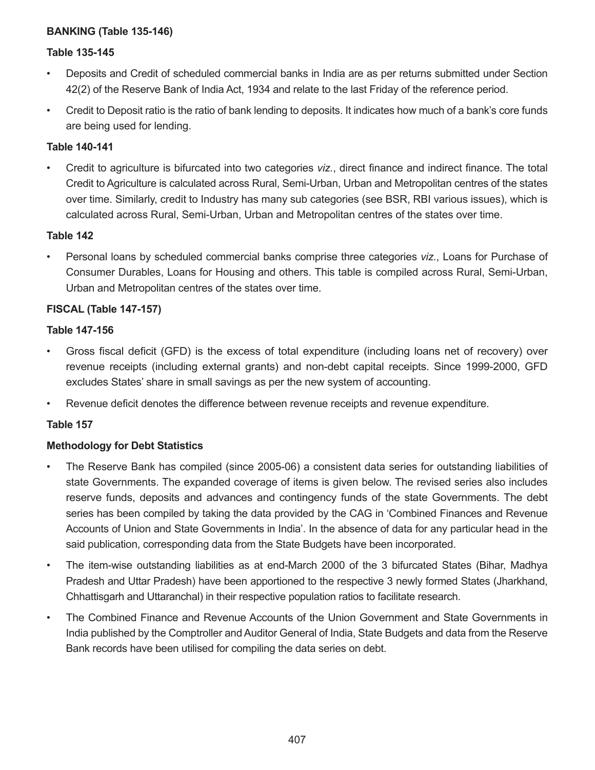### **BANKING (Table 135-146)**

### **Table 135-145**

- Deposits and Credit of scheduled commercial banks in India are as per returns submitted under Section 42(2) of the Reserve Bank of India Act, 1934 and relate to the last Friday of the reference period.
- Credit to Deposit ratio is the ratio of bank lending to deposits. It indicates how much of a bank's core funds are being used for lending.

### **Table 140-141**

• Credit to agriculture is bifurcated into two categories *viz.*, direct finance and indirect finance. The total Credit to Agriculture is calculated across Rural, Semi-Urban, Urban and Metropolitan centres of the states over time. Similarly, credit to Industry has many sub categories (see BSR, RBI various issues), which is calculated across Rural, Semi-Urban, Urban and Metropolitan centres of the states over time.

#### **Table 142**

• Personal loans by scheduled commercial banks comprise three categories *viz.*, Loans for Purchase of Consumer Durables, Loans for Housing and others. This table is compiled across Rural, Semi-Urban, Urban and Metropolitan centres of the states over time.

### **FISCAL (Table 147-157)**

### **Table 147-156**

- Gross fiscal deficit (GFD) is the excess of total expenditure (including loans net of recovery) over revenue receipts (including external grants) and non-debt capital receipts. Since 1999-2000, GFD excludes States' share in small savings as per the new system of accounting.
- Revenue deficit denotes the difference between revenue receipts and revenue expenditure.

### **Table 157**

### **Methodology for Debt Statistics**

- The Reserve Bank has compiled (since 2005-06) a consistent data series for outstanding liabilities of state Governments. The expanded coverage of items is given below. The revised series also includes reserve funds, deposits and advances and contingency funds of the state Governments. The debt series has been compiled by taking the data provided by the CAG in 'Combined Finances and Revenue Accounts of Union and State Governments in India'. In the absence of data for any particular head in the said publication, corresponding data from the State Budgets have been incorporated.
- The item-wise outstanding liabilities as at end-March 2000 of the 3 bifurcated States (Bihar, Madhya Pradesh and Uttar Pradesh) have been apportioned to the respective 3 newly formed States (Jharkhand, Chhattisgarh and Uttaranchal) in their respective population ratios to facilitate research.
- The Combined Finance and Revenue Accounts of the Union Government and State Governments in India published by the Comptroller and Auditor General of India, State Budgets and data from the Reserve Bank records have been utilised for compiling the data series on debt.